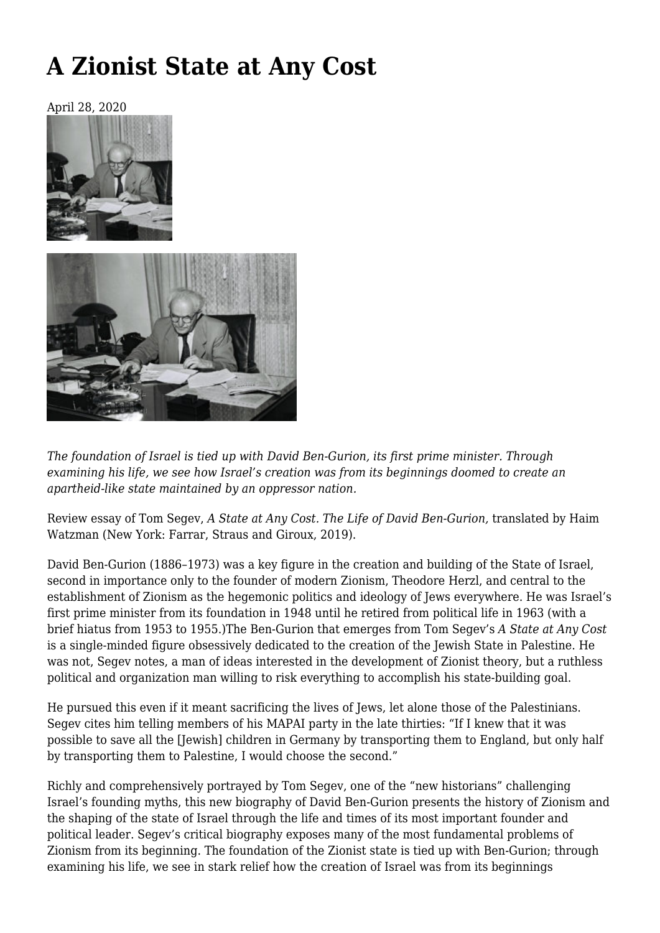# **[A Zionist State at Any Cost](https://newpol.org/a-zionist-state-at-any-cost/)**

April 28, 2020





*The foundation of Israel is tied up with David Ben-Gurion, its first prime minister. Through examining his life, we see how Israel's creation was from its beginnings doomed to create an apartheid-like state maintained by an oppressor nation.*

Review essay of Tom Segev, *[A State at Any Cost. The Life of David Ben-Gurion,](https://us.macmillan.com/books/9780374112646)* translated by Haim Watzman (New York: Farrar, Straus and Giroux, 2019).

David Ben-Gurion (1886–1973) was a key figure in the creation and building of the State of Israel, second in importance only to the founder of modern Zionism, Theodore Herzl, and central to the establishment of Zionism as the hegemonic politics and ideology of Jews everywhere. He was Israel's first prime minister from its foundation in 1948 until he retired from political life in 1963 (with a brief hiatus from 1953 to 1955.)The Ben-Gurion that emerges from Tom Segev's *A State at Any Cost* is a single-minded figure obsessively dedicated to the creation of the Jewish State in Palestine. He was not, Segev notes, a man of ideas interested in the development of Zionist theory, but a ruthless political and organization man willing to risk everything to accomplish his state-building goal.

He pursued this even if it meant sacrificing the lives of Jews, let alone those of the Palestinians. Segev cites him telling members of his MAPAI party in the late thirties: "If I knew that it was possible to save all the [Jewish] children in Germany by transporting them to England, but only half by transporting them to Palestine, I would choose the second."

Richly and comprehensively portrayed by Tom Segev, one of the "new historians" challenging Israel's founding myths, this new biography of David Ben-Gurion presents the history of Zionism and the shaping of the state of Israel through the life and times of its most important founder and political leader. Segev's critical biography exposes many of the most fundamental problems of Zionism from its beginning. The foundation of the Zionist state is tied up with Ben-Gurion; through examining his life, we see in stark relief how the creation of Israel was from its beginnings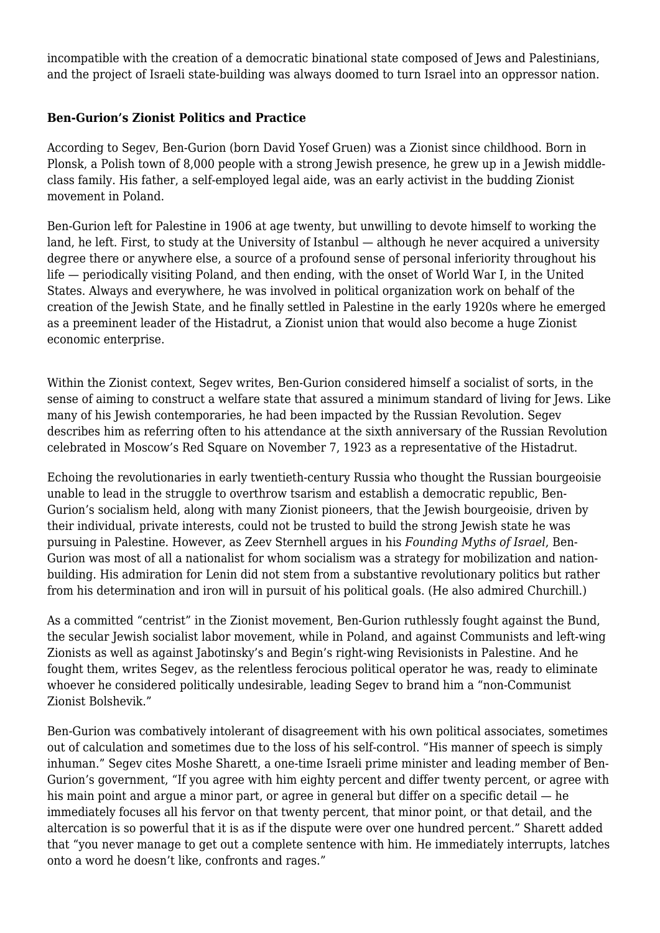incompatible with the creation of a democratic binational state composed of Jews and Palestinians, and the project of Israeli state-building was always doomed to turn Israel into an oppressor nation.

# **Ben-Gurion's Zionist Politics and Practice**

According to Segev, Ben-Gurion (born David Yosef Gruen) was a Zionist since childhood. Born in Plonsk, a Polish town of 8,000 people with a strong Jewish presence, he grew up in a Jewish middleclass family. His father, a self-employed legal aide, was an early activist in the budding Zionist movement in Poland.

Ben-Gurion left for Palestine in 1906 at age twenty, but unwilling to devote himself to working the land, he left. First, to study at the University of Istanbul — although he never acquired a university degree there or anywhere else, a source of a profound sense of personal inferiority throughout his life — periodically visiting Poland, and then ending, with the onset of World War I, in the United States. Always and everywhere, he was involved in political organization work on behalf of the creation of the Jewish State, and he finally settled in Palestine in the early 1920s where he emerged as a preeminent leader of the Histadrut, a Zionist union that would also become a huge Zionist economic enterprise.

Within the Zionist context, Segev writes, Ben-Gurion considered himself a socialist of sorts, in the sense of aiming to construct a welfare state that assured a minimum standard of living for Jews. Like many of his Jewish contemporaries, he had been impacted by the Russian Revolution. Segev describes him as referring often to his attendance at the sixth anniversary of the Russian Revolution celebrated in Moscow's Red Square on November 7, 1923 as a representative of the Histadrut.

Echoing the revolutionaries in early twentieth-century Russia who thought the Russian bourgeoisie unable to lead in the struggle to overthrow tsarism and establish a democratic republic, Ben-Gurion's socialism held, along with many Zionist pioneers, that the Jewish bourgeoisie, driven by their individual, private interests, could not be trusted to build the strong Jewish state he was pursuing in Palestine. However, as Zeev Sternhell argues in his *Founding Myths of Israel*, Ben-Gurion was most of all a nationalist for whom socialism was a strategy for mobilization and nationbuilding. His admiration for Lenin did not stem from a substantive revolutionary politics but rather from his determination and iron will in pursuit of his political goals. (He also admired Churchill.)

As a committed "centrist" in the Zionist movement, Ben-Gurion ruthlessly fought against the Bund, the secular Jewish socialist labor movement, while in Poland, and against Communists and left-wing Zionists as well as against Jabotinsky's and Begin's right-wing Revisionists in Palestine. And he fought them, writes Segev, as the relentless ferocious political operator he was, ready to eliminate whoever he considered politically undesirable, leading Segev to brand him a "non-Communist Zionist Bolshevik."

Ben-Gurion was combatively intolerant of disagreement with his own political associates, sometimes out of calculation and sometimes due to the loss of his self-control. "His manner of speech is simply inhuman." Segev cites Moshe Sharett, a one-time Israeli prime minister and leading member of Ben-Gurion's government, "If you agree with him eighty percent and differ twenty percent, or agree with his main point and argue a minor part, or agree in general but differ on a specific detail — he immediately focuses all his fervor on that twenty percent, that minor point, or that detail, and the altercation is so powerful that it is as if the dispute were over one hundred percent." Sharett added that "you never manage to get out a complete sentence with him. He immediately interrupts, latches onto a word he doesn't like, confronts and rages."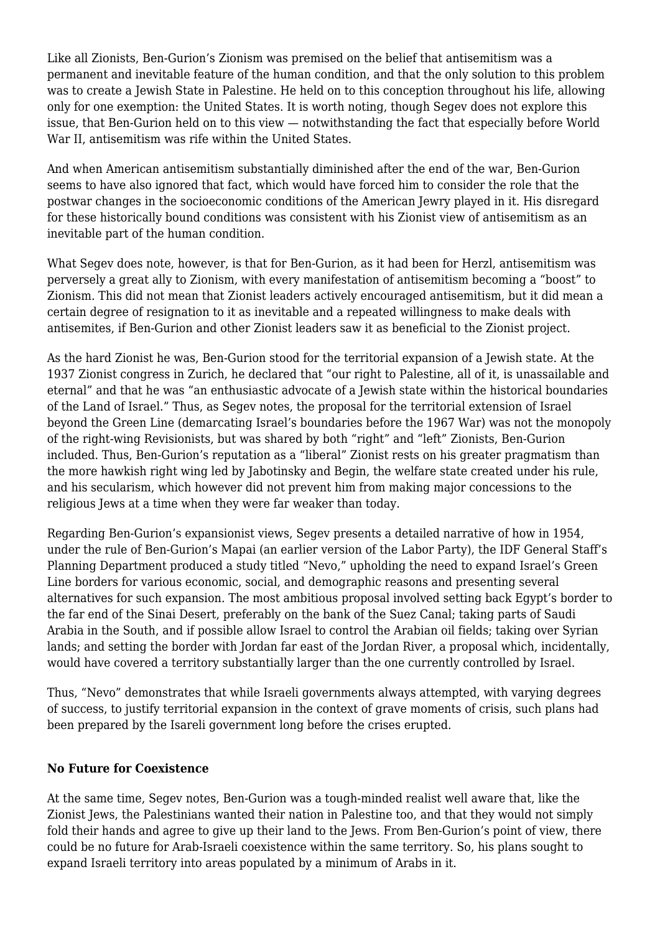Like all Zionists, Ben-Gurion's Zionism was premised on the belief that antisemitism was a permanent and inevitable feature of the human condition, and that the only solution to this problem was to create a Jewish State in Palestine. He held on to this conception throughout his life, allowing only for one exemption: the United States. It is worth noting, though Segev does not explore this issue, that Ben-Gurion held on to this view — notwithstanding the fact that especially before World War II, antisemitism was rife within the United States.

And when American antisemitism substantially diminished after the end of the war, Ben-Gurion seems to have also ignored that fact, which would have forced him to consider the role that the postwar changes in the socioeconomic conditions of the American Jewry played in it. His disregard for these historically bound conditions was consistent with his Zionist view of antisemitism as an inevitable part of the human condition.

What Segev does note, however, is that for Ben-Gurion, as it had been for Herzl, antisemitism was perversely a great ally to Zionism, with every manifestation of antisemitism becoming a "boost" to Zionism. This did not mean that Zionist leaders actively encouraged antisemitism, but it did mean a certain degree of resignation to it as inevitable and a repeated willingness to make deals with antisemites, if Ben-Gurion and other Zionist leaders saw it as beneficial to the Zionist project.

As the hard Zionist he was, Ben-Gurion stood for the territorial expansion of a Jewish state. At the 1937 Zionist congress in Zurich, he declared that "our right to Palestine, all of it, is unassailable and eternal" and that he was "an enthusiastic advocate of a Jewish state within the historical boundaries of the Land of Israel." Thus, as Segev notes, the proposal for the territorial extension of Israel beyond the Green Line (demarcating Israel's boundaries before the 1967 War) was not the monopoly of the right-wing Revisionists, but was shared by both "right" and "left" Zionists, Ben-Gurion included. Thus, Ben-Gurion's reputation as a "liberal" Zionist rests on his greater pragmatism than the more hawkish right wing led by Jabotinsky and Begin, the welfare state created under his rule, and his secularism, which however did not prevent him from making major concessions to the religious Jews at a time when they were far weaker than today.

Regarding Ben-Gurion's expansionist views, Segev presents a detailed narrative of how in 1954, under the rule of Ben-Gurion's Mapai (an earlier version of the Labor Party), the IDF General Staff's Planning Department produced a study titled "Nevo," upholding the need to expand Israel's Green Line borders for various economic, social, and demographic reasons and presenting several alternatives for such expansion. The most ambitious proposal involved setting back Egypt's border to the far end of the Sinai Desert, preferably on the bank of the Suez Canal; taking parts of Saudi Arabia in the South, and if possible allow Israel to control the Arabian oil fields; taking over Syrian lands; and setting the border with Jordan far east of the Jordan River, a proposal which, incidentally, would have covered a territory substantially larger than the one currently controlled by Israel.

Thus, "Nevo" demonstrates that while Israeli governments always attempted, with varying degrees of success, to justify territorial expansion in the context of grave moments of crisis, such plans had been prepared by the Isareli government long before the crises erupted.

#### **No Future for Coexistence**

At the same time, Segev notes, Ben-Gurion was a tough-minded realist well aware that, like the Zionist Jews, the Palestinians wanted their nation in Palestine too, and that they would not simply fold their hands and agree to give up their land to the Jews. From Ben-Gurion's point of view, there could be no future for Arab-Israeli coexistence within the same territory. So, his plans sought to expand Israeli territory into areas populated by a minimum of Arabs in it.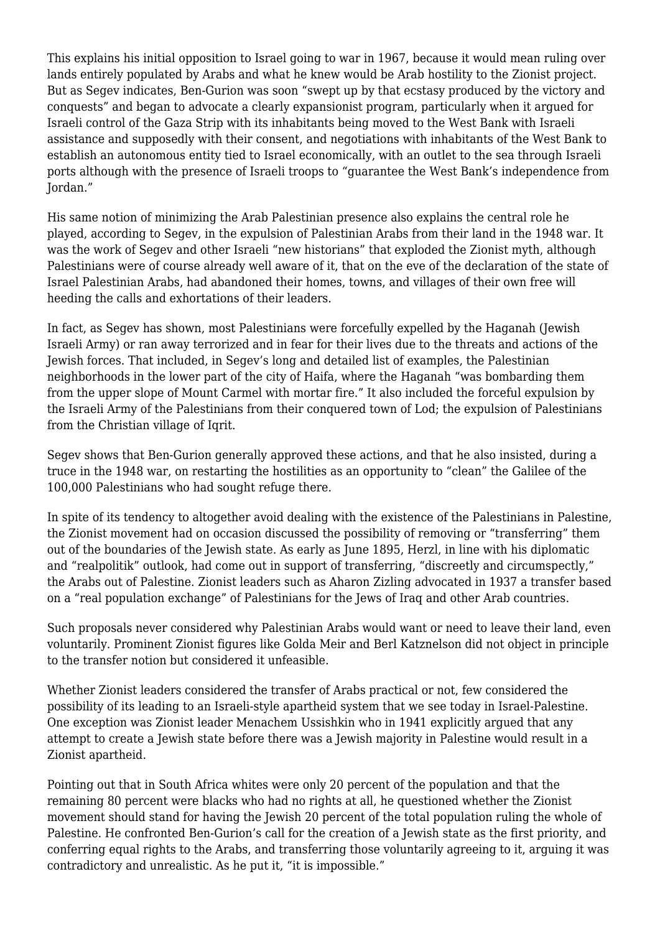This explains his initial opposition to Israel going to war in 1967, because it would mean ruling over lands entirely populated by Arabs and what he knew would be Arab hostility to the Zionist project. But as Segev indicates, Ben-Gurion was soon "swept up by that ecstasy produced by the victory and conquests" and began to advocate a clearly expansionist program, particularly when it argued for Israeli control of the Gaza Strip with its inhabitants being moved to the West Bank with Israeli assistance and supposedly with their consent, and negotiations with inhabitants of the West Bank to establish an autonomous entity tied to Israel economically, with an outlet to the sea through Israeli ports although with the presence of Israeli troops to "guarantee the West Bank's independence from Jordan."

His same notion of minimizing the Arab Palestinian presence also explains the central role he played, according to Segev, in the expulsion of Palestinian Arabs from their land in the 1948 war. It was the work of Segev and other Israeli "new historians" that exploded the Zionist myth, although Palestinians were of course already well aware of it, that on the eve of the declaration of the state of Israel Palestinian Arabs, had abandoned their homes, towns, and villages of their own free will heeding the calls and exhortations of their leaders.

In fact, as Segev has shown, most Palestinians were forcefully expelled by the Haganah (Jewish Israeli Army) or ran away terrorized and in fear for their lives due to the threats and actions of the Jewish forces. That included, in Segev's long and detailed list of examples, the Palestinian neighborhoods in the lower part of the city of Haifa, where the Haganah "was bombarding them from the upper slope of Mount Carmel with mortar fire." It also included the forceful expulsion by the Israeli Army of the Palestinians from their conquered town of Lod; the expulsion of Palestinians from the Christian village of Iqrit.

Segev shows that Ben-Gurion generally approved these actions, and that he also insisted, during a truce in the 1948 war, on restarting the hostilities as an opportunity to "clean" the Galilee of the 100,000 Palestinians who had sought refuge there.

In spite of its tendency to altogether avoid dealing with the existence of the Palestinians in Palestine, the Zionist movement had on occasion discussed the possibility of removing or "transferring" them out of the boundaries of the Jewish state. As early as June 1895, Herzl, in line with his diplomatic and "realpolitik" outlook, had come out in support of transferring, "discreetly and circumspectly," the Arabs out of Palestine. Zionist leaders such as Aharon Zizling advocated in 1937 a transfer based on a "real population exchange" of Palestinians for the Jews of Iraq and other Arab countries.

Such proposals never considered why Palestinian Arabs would want or need to leave their land, even voluntarily. Prominent Zionist figures like Golda Meir and Berl Katznelson did not object in principle to the transfer notion but considered it unfeasible.

Whether Zionist leaders considered the transfer of Arabs practical or not, few considered the possibility of its leading to an Israeli-style apartheid system that we see today in Israel-Palestine. One exception was Zionist leader Menachem Ussishkin who in 1941 explicitly argued that any attempt to create a Jewish state before there was a Jewish majority in Palestine would result in a Zionist apartheid.

Pointing out that in South Africa whites were only 20 percent of the population and that the remaining 80 percent were blacks who had no rights at all, he questioned whether the Zionist movement should stand for having the Jewish 20 percent of the total population ruling the whole of Palestine. He confronted Ben-Gurion's call for the creation of a Jewish state as the first priority, and conferring equal rights to the Arabs, and transferring those voluntarily agreeing to it, arguing it was contradictory and unrealistic. As he put it, "it is impossible."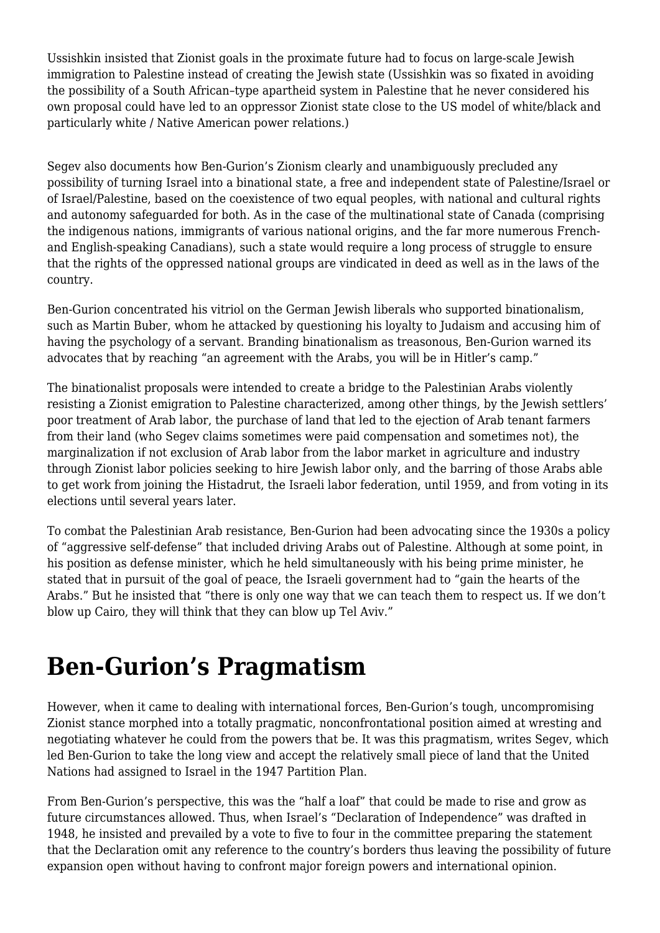Ussishkin insisted that Zionist goals in the proximate future had to focus on large-scale Jewish immigration to Palestine instead of creating the Jewish state (Ussishkin was so fixated in avoiding the possibility of a South African–type apartheid system in Palestine that he never considered his own proposal could have led to an oppressor Zionist state close to the US model of white/black and particularly white / Native American power relations.)

Segev also documents how Ben-Gurion's Zionism clearly and unambiguously precluded any possibility of turning Israel into a binational state, a free and independent state of Palestine/Israel or of Israel/Palestine, based on the coexistence of two equal peoples, with national and cultural rights and autonomy safeguarded for both. As in the case of the multinational state of Canada (comprising the indigenous nations, immigrants of various national origins, and the far more numerous Frenchand English-speaking Canadians), such a state would require a long process of struggle to ensure that the rights of the oppressed national groups are vindicated in deed as well as in the laws of the country.

Ben-Gurion concentrated his vitriol on the German Jewish liberals who supported binationalism, such as Martin Buber, whom he attacked by questioning his loyalty to Judaism and accusing him of having the psychology of a servant. Branding binationalism as treasonous, Ben-Gurion warned its advocates that by reaching "an agreement with the Arabs, you will be in Hitler's camp."

The binationalist proposals were intended to create a bridge to the Palestinian Arabs violently resisting a Zionist emigration to Palestine characterized, among other things, by the Jewish settlers' poor treatment of Arab labor, the purchase of land that led to the ejection of Arab tenant farmers from their land (who Segev claims sometimes were paid compensation and sometimes not), the marginalization if not exclusion of Arab labor from the labor market in agriculture and industry through Zionist labor policies seeking to hire Jewish labor only, and the barring of those Arabs able to get work from joining the Histadrut, the Israeli labor federation, until 1959, and from voting in its elections until several years later.

To combat the Palestinian Arab resistance, Ben-Gurion had been advocating since the 1930s a policy of "aggressive self-defense" that included driving Arabs out of Palestine. Although at some point, in his position as defense minister, which he held simultaneously with his being prime minister, he stated that in pursuit of the goal of peace, the Israeli government had to "gain the hearts of the Arabs." But he insisted that "there is only one way that we can teach them to respect us. If we don't blow up Cairo, they will think that they can blow up Tel Aviv."

# **Ben-Gurion's Pragmatism**

However, when it came to dealing with international forces, Ben-Gurion's tough, uncompromising Zionist stance morphed into a totally pragmatic, nonconfrontational position aimed at wresting and negotiating whatever he could from the powers that be. It was this pragmatism, writes Segev, which led Ben-Gurion to take the long view and accept the relatively small piece of land that the United Nations had assigned to Israel in the 1947 Partition Plan.

From Ben-Gurion's perspective, this was the "half a loaf" that could be made to rise and grow as future circumstances allowed. Thus, when Israel's "Declaration of Independence" was drafted in 1948, he insisted and prevailed by a vote to five to four in the committee preparing the statement that the Declaration omit any reference to the country's borders thus leaving the possibility of future expansion open without having to confront major foreign powers and international opinion.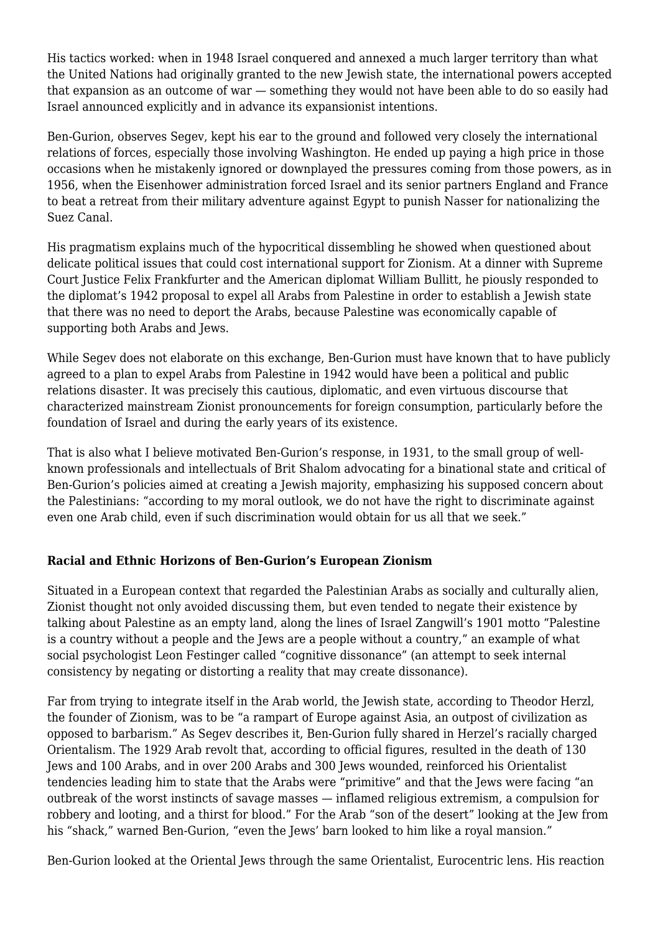His tactics worked: when in 1948 Israel conquered and annexed a much larger territory than what the United Nations had originally granted to the new Jewish state, the international powers accepted that expansion as an outcome of war — something they would not have been able to do so easily had Israel announced explicitly and in advance its expansionist intentions.

Ben-Gurion, observes Segev, kept his ear to the ground and followed very closely the international relations of forces, especially those involving Washington. He ended up paying a high price in those occasions when he mistakenly ignored or downplayed the pressures coming from those powers, as in 1956, when the Eisenhower administration forced Israel and its senior partners England and France to beat a retreat from their military adventure against Egypt to punish Nasser for nationalizing the Suez Canal.

His pragmatism explains much of the hypocritical dissembling he showed when questioned about delicate political issues that could cost international support for Zionism. At a dinner with Supreme Court Justice Felix Frankfurter and the American diplomat William Bullitt, he piously responded to the diplomat's 1942 proposal to expel all Arabs from Palestine in order to establish a Jewish state that there was no need to deport the Arabs, because Palestine was economically capable of supporting both Arabs and Jews.

While Segev does not elaborate on this exchange, Ben-Gurion must have known that to have publicly agreed to a plan to expel Arabs from Palestine in 1942 would have been a political and public relations disaster. It was precisely this cautious, diplomatic, and even virtuous discourse that characterized mainstream Zionist pronouncements for foreign consumption, particularly before the foundation of Israel and during the early years of its existence.

That is also what I believe motivated Ben-Gurion's response, in 1931, to the small group of wellknown professionals and intellectuals of Brit Shalom advocating for a binational state and critical of Ben-Gurion's policies aimed at creating a Jewish majority, emphasizing his supposed concern about the Palestinians: "according to my moral outlook, we do not have the right to discriminate against even one Arab child, even if such discrimination would obtain for us all that we seek."

# **Racial and Ethnic Horizons of Ben-Gurion's European Zionism**

Situated in a European context that regarded the Palestinian Arabs as socially and culturally alien, Zionist thought not only avoided discussing them, but even tended to negate their existence by talking about Palestine as an empty land, along the lines of Israel Zangwill's 1901 motto "Palestine is a country without a people and the Jews are a people without a country," an example of what social psychologist Leon Festinger called "cognitive dissonance" (an attempt to seek internal consistency by negating or distorting a reality that may create dissonance).

Far from trying to integrate itself in the Arab world, the Jewish state, according to Theodor Herzl, the founder of Zionism, was to be "a rampart of Europe against Asia, an outpost of civilization as opposed to barbarism." As Segev describes it, Ben-Gurion fully shared in Herzel's racially charged Orientalism. The 1929 Arab revolt that, according to official figures, resulted in the death of 130 Jews and 100 Arabs, and in over 200 Arabs and 300 Jews wounded, reinforced his Orientalist tendencies leading him to state that the Arabs were "primitive" and that the Jews were facing "an outbreak of the worst instincts of savage masses — inflamed religious extremism, a compulsion for robbery and looting, and a thirst for blood." For the Arab "son of the desert" looking at the Jew from his "shack," warned Ben-Gurion, "even the Jews' barn looked to him like a royal mansion."

Ben-Gurion looked at the Oriental Jews through the same Orientalist, Eurocentric lens. His reaction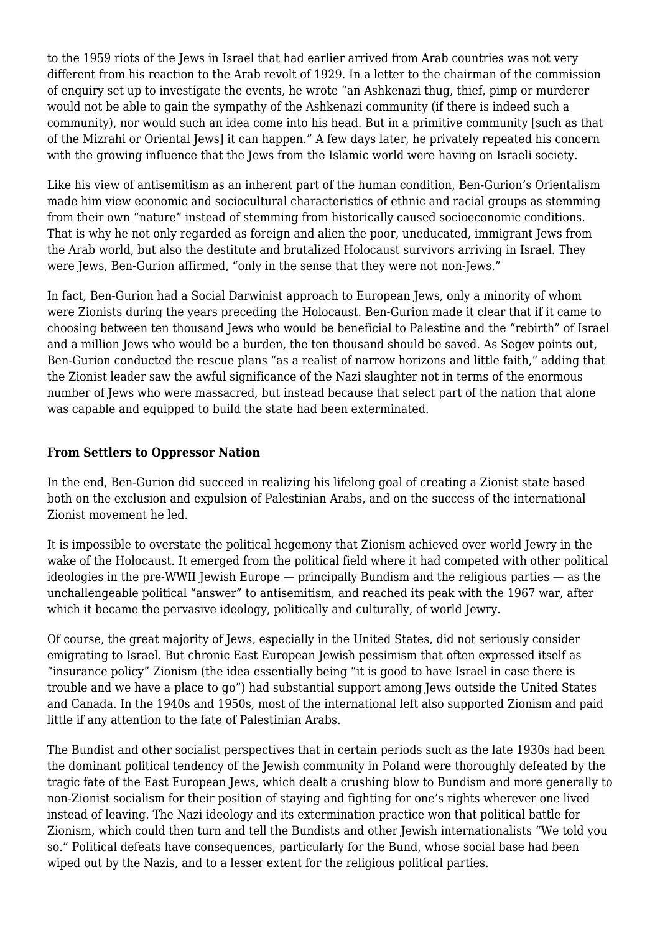to the 1959 riots of the Jews in Israel that had earlier arrived from Arab countries was not very different from his reaction to the Arab revolt of 1929. In a letter to the chairman of the commission of enquiry set up to investigate the events, he wrote "an Ashkenazi thug, thief, pimp or murderer would not be able to gain the sympathy of the Ashkenazi community (if there is indeed such a community), nor would such an idea come into his head. But in a primitive community [such as that of the Mizrahi or Oriental Jews] it can happen." A few days later, he privately repeated his concern with the growing influence that the Jews from the Islamic world were having on Israeli society.

Like his view of antisemitism as an inherent part of the human condition, Ben-Gurion's Orientalism made him view economic and sociocultural characteristics of ethnic and racial groups as stemming from their own "nature" instead of stemming from historically caused socioeconomic conditions. That is why he not only regarded as foreign and alien the poor, uneducated, immigrant Jews from the Arab world, but also the destitute and brutalized Holocaust survivors arriving in Israel. They were Jews, Ben-Gurion affirmed, "only in the sense that they were not non-Jews."

In fact, Ben-Gurion had a Social Darwinist approach to European Jews, only a minority of whom were Zionists during the years preceding the Holocaust. Ben-Gurion made it clear that if it came to choosing between ten thousand Jews who would be beneficial to Palestine and the "rebirth" of Israel and a million Jews who would be a burden, the ten thousand should be saved. As Segev points out, Ben-Gurion conducted the rescue plans "as a realist of narrow horizons and little faith," adding that the Zionist leader saw the awful significance of the Nazi slaughter not in terms of the enormous number of Jews who were massacred, but instead because that select part of the nation that alone was capable and equipped to build the state had been exterminated.

## **From Settlers to Oppressor Nation**

In the end, Ben-Gurion did succeed in realizing his lifelong goal of creating a Zionist state based both on the exclusion and expulsion of Palestinian Arabs, and on the success of the international Zionist movement he led.

It is impossible to overstate the political hegemony that Zionism achieved over world Jewry in the wake of the Holocaust. It emerged from the political field where it had competed with other political ideologies in the pre-WWII Jewish Europe — principally Bundism and the religious parties — as the unchallengeable political "answer" to antisemitism, and reached its peak with the 1967 war, after which it became the pervasive ideology, politically and culturally, of world Jewry.

Of course, the great majority of Jews, especially in the United States, did not seriously consider emigrating to Israel. But chronic East European Jewish pessimism that often expressed itself as "insurance policy" Zionism (the idea essentially being "it is good to have Israel in case there is trouble and we have a place to go") had substantial support among Jews outside the United States and Canada. In the 1940s and 1950s, most of the international left also supported Zionism and paid little if any attention to the fate of Palestinian Arabs.

The Bundist and other socialist perspectives that in certain periods such as the late 1930s had been the dominant political tendency of the Jewish community in Poland were thoroughly defeated by the tragic fate of the East European Jews, which dealt a crushing blow to Bundism and more generally to non-Zionist socialism for their position of staying and fighting for one's rights wherever one lived instead of leaving. The Nazi ideology and its extermination practice won that political battle for Zionism, which could then turn and tell the Bundists and other Jewish internationalists "We told you so." Political defeats have consequences, particularly for the Bund, whose social base had been wiped out by the Nazis, and to a lesser extent for the religious political parties.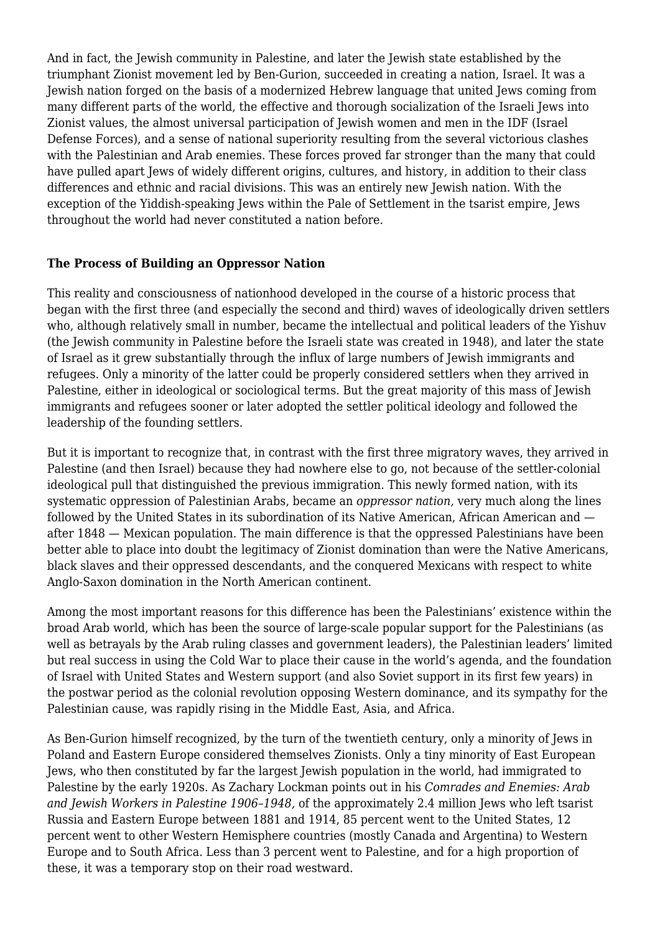And in fact, the Jewish community in Palestine, and later the Jewish state established by the triumphant Zionist movement led by Ben-Gurion, succeeded in creating a nation, Israel. It was a Jewish nation forged on the basis of a modernized Hebrew language that united Jews coming from many different parts of the world, the effective and thorough socialization of the Israeli Jews into Zionist values, the almost universal participation of Jewish women and men in the IDF (Israel Defense Forces), and a sense of national superiority resulting from the several victorious clashes with the Palestinian and Arab enemies. These forces proved far stronger than the many that could have pulled apart Jews of widely different origins, cultures, and history, in addition to their class differences and ethnic and racial divisions. This was an entirely new Jewish nation. With the exception of the Yiddish-speaking Jews within the Pale of Settlement in the tsarist empire, Jews throughout the world had never constituted a nation before.

## **The Process of Building an Oppressor Nation**

This reality and consciousness of nationhood developed in the course of a historic process that began with the first three (and especially the second and third) waves of ideologically driven settlers who, although relatively small in number, became the intellectual and political leaders of the Yishuv (the Jewish community in Palestine before the Israeli state was created in 1948), and later the state of Israel as it grew substantially through the influx of large numbers of Jewish immigrants and refugees. Only a minority of the latter could be properly considered settlers when they arrived in Palestine, either in ideological or sociological terms. But the great majority of this mass of Jewish immigrants and refugees sooner or later adopted the settler political ideology and followed the leadership of the founding settlers.

But it is important to recognize that, in contrast with the first three migratory waves, they arrived in Palestine (and then Israel) because they had nowhere else to go, not because of the settler-colonial ideological pull that distinguished the previous immigration. This newly formed nation, with its systematic oppression of Palestinian Arabs, became an *oppressor nation,* very much along the lines followed by the United States in its subordination of its Native American, African American and after 1848 — Mexican population. The main difference is that the oppressed Palestinians have been better able to place into doubt the legitimacy of Zionist domination than were the Native Americans, black slaves and their oppressed descendants, and the conquered Mexicans with respect to white Anglo-Saxon domination in the North American continent.

Among the most important reasons for this difference has been the Palestinians' existence within the broad Arab world, which has been the source of large-scale popular support for the Palestinians (as well as betrayals by the Arab ruling classes and government leaders), the Palestinian leaders' limited but real success in using the Cold War to place their cause in the world's agenda, and the foundation of Israel with United States and Western support (and also Soviet support in its first few years) in the postwar period as the colonial revolution opposing Western dominance, and its sympathy for the Palestinian cause, was rapidly rising in the Middle East, Asia, and Africa.

As Ben-Gurion himself recognized, by the turn of the twentieth century, only a minority of Jews in Poland and Eastern Europe considered themselves Zionists. Only a tiny minority of East European Jews, who then constituted by far the largest Jewish population in the world, had immigrated to Palestine by the early 1920s. As Zachary Lockman points out in his *Comrades and Enemies: Arab and Jewish Workers in Palestine 1906*–*1948,* of the approximately 2.4 million Jews who left tsarist Russia and Eastern Europe between 1881 and 1914, 85 percent went to the United States, 12 percent went to other Western Hemisphere countries (mostly Canada and Argentina) to Western Europe and to South Africa. Less than 3 percent went to Palestine, and for a high proportion of these, it was a temporary stop on their road westward.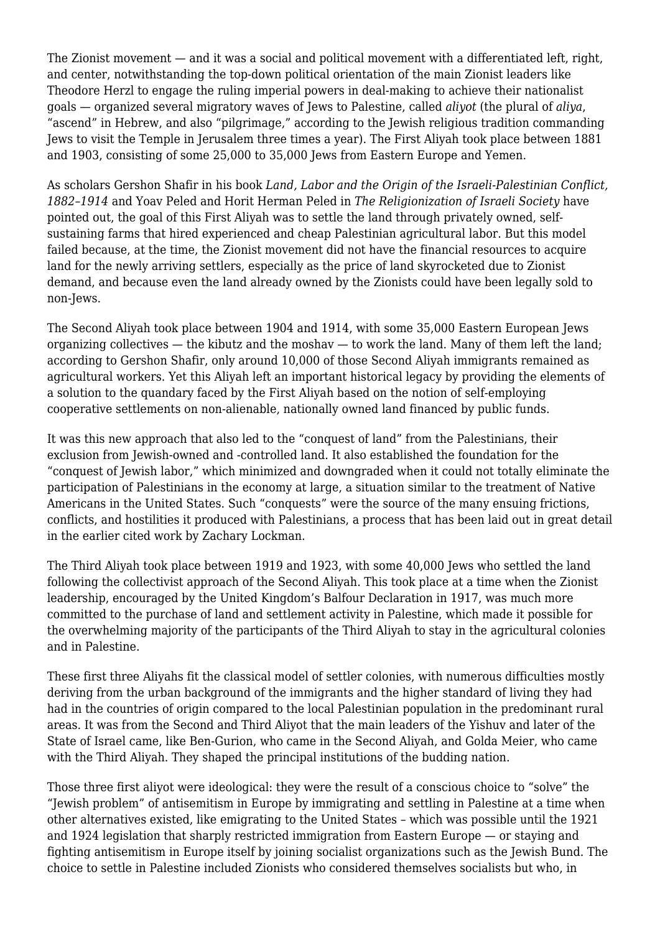The Zionist movement — and it was a social and political movement with a differentiated left, right, and center, notwithstanding the top-down political orientation of the main Zionist leaders like Theodore Herzl to engage the ruling imperial powers in deal-making to achieve their nationalist goals — organized several migratory waves of Jews to Palestine, called *aliyot* (the plural of *aliya*, "ascend" in Hebrew, and also "pilgrimage," according to the Jewish religious tradition commanding Jews to visit the Temple in Jerusalem three times a year). The First Aliyah took place between 1881 and 1903, consisting of some 25,000 to 35,000 Jews from Eastern Europe and Yemen.

As scholars Gershon Shafir in his book *Land, Labor and the Origin of the Israeli-Palestinian Conflict, 1882*–*1914* and Yoav Peled and Horit Herman Peled in *The Religionization of Israeli Society* have pointed out, the goal of this First Aliyah was to settle the land through privately owned, selfsustaining farms that hired experienced and cheap Palestinian agricultural labor. But this model failed because, at the time, the Zionist movement did not have the financial resources to acquire land for the newly arriving settlers, especially as the price of land skyrocketed due to Zionist demand, and because even the land already owned by the Zionists could have been legally sold to non-Jews.

The Second Aliyah took place between 1904 and 1914, with some 35,000 Eastern European Jews organizing collectives — the kibutz and the moshav — to work the land. Many of them left the land; according to Gershon Shafir, only around 10,000 of those Second Aliyah immigrants remained as agricultural workers. Yet this Aliyah left an important historical legacy by providing the elements of a solution to the quandary faced by the First Aliyah based on the notion of self-employing cooperative settlements on non-alienable, nationally owned land financed by public funds.

It was this new approach that also led to the "conquest of land" from the Palestinians, their exclusion from Jewish-owned and -controlled land. It also established the foundation for the "conquest of Jewish labor," which minimized and downgraded when it could not totally eliminate the participation of Palestinians in the economy at large, a situation similar to the treatment of Native Americans in the United States. Such "conquests" were the source of the many ensuing frictions, conflicts, and hostilities it produced with Palestinians, a process that has been laid out in great detail in the earlier cited work by Zachary Lockman.

The Third Aliyah took place between 1919 and 1923, with some 40,000 Jews who settled the land following the collectivist approach of the Second Aliyah. This took place at a time when the Zionist leadership, encouraged by the United Kingdom's Balfour Declaration in 1917, was much more committed to the purchase of land and settlement activity in Palestine, which made it possible for the overwhelming majority of the participants of the Third Aliyah to stay in the agricultural colonies and in Palestine.

These first three Aliyahs fit the classical model of settler colonies, with numerous difficulties mostly deriving from the urban background of the immigrants and the higher standard of living they had had in the countries of origin compared to the local Palestinian population in the predominant rural areas. It was from the Second and Third Aliyot that the main leaders of the Yishuv and later of the State of Israel came, like Ben-Gurion, who came in the Second Aliyah, and Golda Meier, who came with the Third Aliyah. They shaped the principal institutions of the budding nation.

Those three first aliyot were ideological: they were the result of a conscious choice to "solve" the "Jewish problem" of antisemitism in Europe by immigrating and settling in Palestine at a time when other alternatives existed, like emigrating to the United States – which was possible until the 1921 and 1924 legislation that sharply restricted immigration from Eastern Europe — or staying and fighting antisemitism in Europe itself by joining socialist organizations such as the Jewish Bund. The choice to settle in Palestine included Zionists who considered themselves socialists but who, in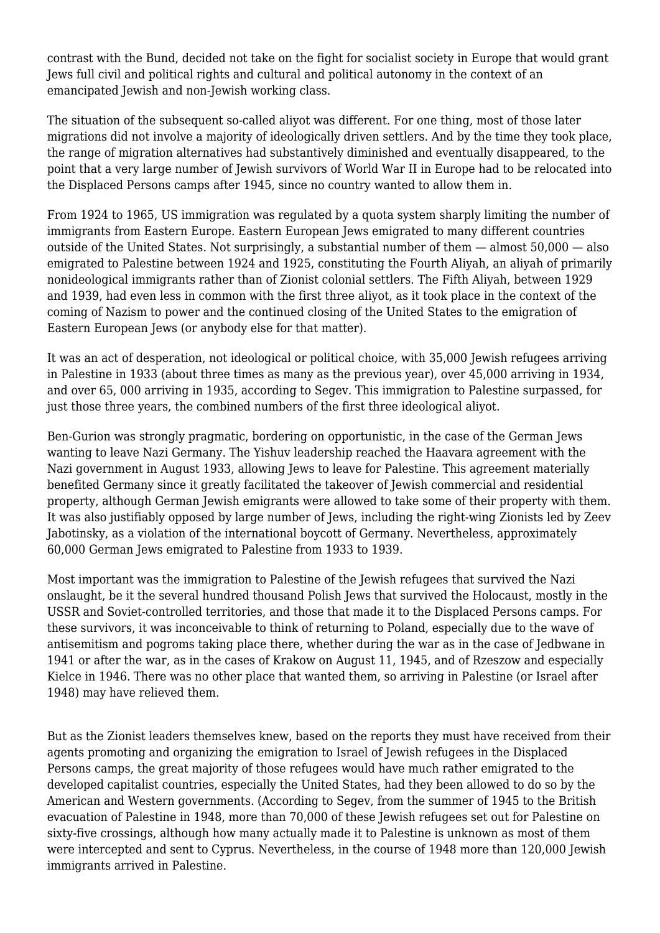contrast with the Bund, decided not take on the fight for socialist society in Europe that would grant Jews full civil and political rights and cultural and political autonomy in the context of an emancipated Jewish and non-Jewish working class.

The situation of the subsequent so-called aliyot was different. For one thing, most of those later migrations did not involve a majority of ideologically driven settlers. And by the time they took place, the range of migration alternatives had substantively diminished and eventually disappeared, to the point that a very large number of Jewish survivors of World War II in Europe had to be relocated into the Displaced Persons camps after 1945, since no country wanted to allow them in.

From 1924 to 1965, US immigration was regulated by a quota system sharply limiting the number of immigrants from Eastern Europe. Eastern European Jews emigrated to many different countries outside of the United States. Not surprisingly, a substantial number of them — almost 50,000 — also emigrated to Palestine between 1924 and 1925, constituting the Fourth Aliyah, an aliyah of primarily nonideological immigrants rather than of Zionist colonial settlers. The Fifth Aliyah, between 1929 and 1939, had even less in common with the first three aliyot, as it took place in the context of the coming of Nazism to power and the continued closing of the United States to the emigration of Eastern European Jews (or anybody else for that matter).

It was an act of desperation, not ideological or political choice, with 35,000 Jewish refugees arriving in Palestine in 1933 (about three times as many as the previous year), over 45,000 arriving in 1934, and over 65, 000 arriving in 1935, according to Segev. This immigration to Palestine surpassed, for just those three years, the combined numbers of the first three ideological aliyot.

Ben-Gurion was strongly pragmatic, bordering on opportunistic, in the case of the German Jews wanting to leave Nazi Germany. The Yishuv leadership reached the Haavara agreement with the Nazi government in August 1933, allowing Jews to leave for Palestine. This agreement materially benefited Germany since it greatly facilitated the takeover of Jewish commercial and residential property, although German Jewish emigrants were allowed to take some of their property with them. It was also justifiably opposed by large number of Jews, including the right-wing Zionists led by Zeev Jabotinsky, as a violation of the international boycott of Germany. Nevertheless, approximately 60,000 German Jews emigrated to Palestine from 1933 to 1939.

Most important was the immigration to Palestine of the Jewish refugees that survived the Nazi onslaught, be it the several hundred thousand Polish Jews that survived the Holocaust, mostly in the USSR and Soviet-controlled territories, and those that made it to the Displaced Persons camps. For these survivors, it was inconceivable to think of returning to Poland, especially due to the wave of antisemitism and pogroms taking place there, whether during the war as in the case of Jedbwane in 1941 or after the war, as in the cases of Krakow on August 11, 1945, and of Rzeszow and especially Kielce in 1946. There was no other place that wanted them, so arriving in Palestine (or Israel after 1948) may have relieved them.

But as the Zionist leaders themselves knew, based on the reports they must have received from their agents promoting and organizing the emigration to Israel of Jewish refugees in the Displaced Persons camps, the great majority of those refugees would have much rather emigrated to the developed capitalist countries, especially the United States, had they been allowed to do so by the American and Western governments. (According to Segev, from the summer of 1945 to the British evacuation of Palestine in 1948, more than 70,000 of these Jewish refugees set out for Palestine on sixty-five crossings, although how many actually made it to Palestine is unknown as most of them were intercepted and sent to Cyprus. Nevertheless, in the course of 1948 more than 120,000 Jewish immigrants arrived in Palestine.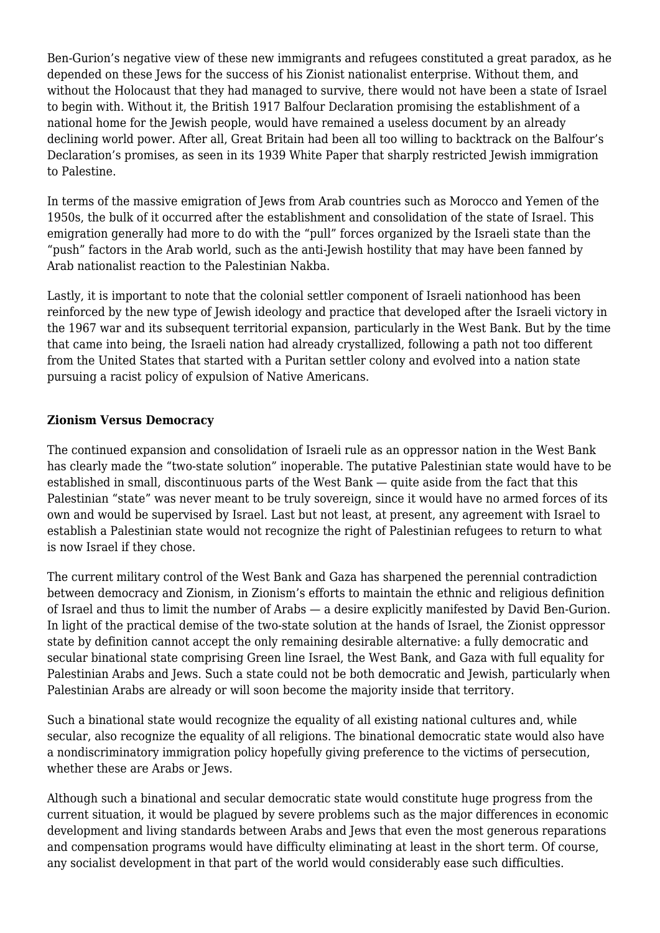Ben-Gurion's negative view of these new immigrants and refugees constituted a great paradox, as he depended on these Jews for the success of his Zionist nationalist enterprise. Without them, and without the Holocaust that they had managed to survive, there would not have been a state of Israel to begin with. Without it, the British 1917 Balfour Declaration promising the establishment of a national home for the Jewish people, would have remained a useless document by an already declining world power. After all, Great Britain had been all too willing to backtrack on the Balfour's Declaration's promises, as seen in its 1939 White Paper that sharply restricted Jewish immigration to Palestine.

In terms of the massive emigration of Jews from Arab countries such as Morocco and Yemen of the 1950s, the bulk of it occurred after the establishment and consolidation of the state of Israel. This emigration generally had more to do with the "pull" forces organized by the Israeli state than the "push" factors in the Arab world, such as the anti-Jewish hostility that may have been fanned by Arab nationalist reaction to the Palestinian Nakba.

Lastly, it is important to note that the colonial settler component of Israeli nationhood has been reinforced by the new type of Jewish ideology and practice that developed after the Israeli victory in the 1967 war and its subsequent territorial expansion, particularly in the West Bank. But by the time that came into being, the Israeli nation had already crystallized, following a path not too different from the United States that started with a Puritan settler colony and evolved into a nation state pursuing a racist policy of expulsion of Native Americans.

## **Zionism Versus Democracy**

The continued expansion and consolidation of Israeli rule as an oppressor nation in the West Bank has clearly made the "two-state solution" inoperable. The putative Palestinian state would have to be established in small, discontinuous parts of the West Bank — quite aside from the fact that this Palestinian "state" was never meant to be truly sovereign, since it would have no armed forces of its own and would be supervised by Israel. Last but not least, at present, any agreement with Israel to establish a Palestinian state would not recognize the right of Palestinian refugees to return to what is now Israel if they chose.

The current military control of the West Bank and Gaza has sharpened the perennial contradiction between democracy and Zionism, in Zionism's efforts to maintain the ethnic and religious definition of Israel and thus to limit the number of Arabs — a desire explicitly manifested by David Ben-Gurion. In light of the practical demise of the two-state solution at the hands of Israel, the Zionist oppressor state by definition cannot accept the only remaining desirable alternative: a fully democratic and secular binational state comprising Green line Israel, the West Bank, and Gaza with full equality for Palestinian Arabs and Jews. Such a state could not be both democratic and Jewish, particularly when Palestinian Arabs are already or will soon become the majority inside that territory.

Such a binational state would recognize the equality of all existing national cultures and, while secular, also recognize the equality of all religions. The binational democratic state would also have a nondiscriminatory immigration policy hopefully giving preference to the victims of persecution, whether these are Arabs or Jews.

Although such a binational and secular democratic state would constitute huge progress from the current situation, it would be plagued by severe problems such as the major differences in economic development and living standards between Arabs and Jews that even the most generous reparations and compensation programs would have difficulty eliminating at least in the short term. Of course, any socialist development in that part of the world would considerably ease such difficulties.